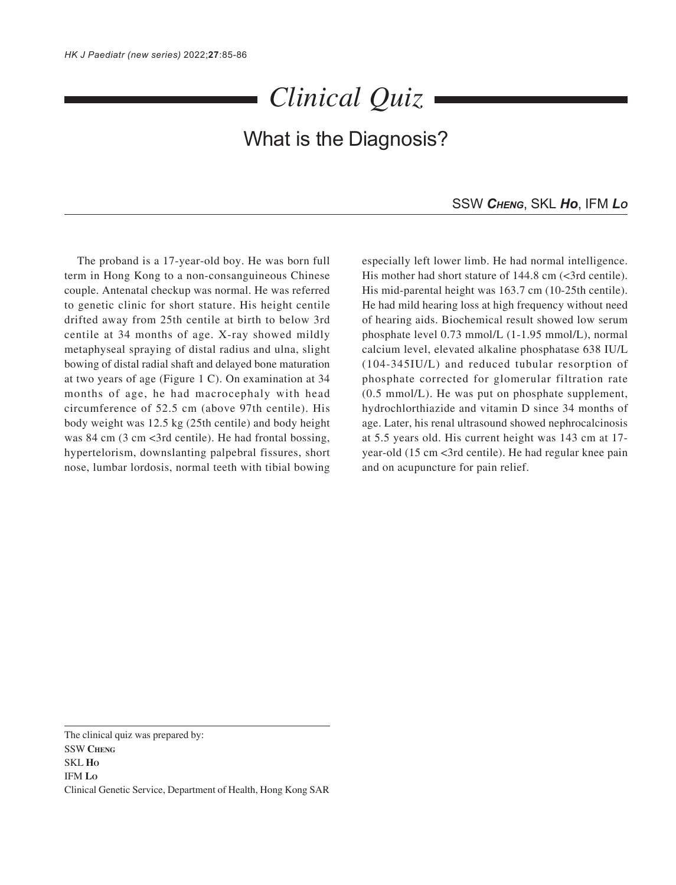## *Clinical Quiz*

## What is the Diagnosis?

## SSW *CHENG*, SKL *Ho*, IFM *LO*

The proband is a 17-year-old boy. He was born full term in Hong Kong to a non-consanguineous Chinese couple. Antenatal checkup was normal. He was referred to genetic clinic for short stature. His height centile drifted away from 25th centile at birth to below 3rd centile at 34 months of age. X-ray showed mildly metaphyseal spraying of distal radius and ulna, slight bowing of distal radial shaft and delayed bone maturation at two years of age (Figure 1 C). On examination at 34 months of age, he had macrocephaly with head circumference of 52.5 cm (above 97th centile). His body weight was 12.5 kg (25th centile) and body height was 84 cm (3 cm <3rd centile). He had frontal bossing, hypertelorism, downslanting palpebral fissures, short nose, lumbar lordosis, normal teeth with tibial bowing

especially left lower limb. He had normal intelligence. His mother had short stature of 144.8 cm (<3rd centile). His mid-parental height was 163.7 cm (10-25th centile). He had mild hearing loss at high frequency without need of hearing aids. Biochemical result showed low serum phosphate level 0.73 mmol/L (1-1.95 mmol/L), normal calcium level, elevated alkaline phosphatase 638 IU/L (104-345IU/L) and reduced tubular resorption of phosphate corrected for glomerular filtration rate (0.5 mmol/L). He was put on phosphate supplement, hydrochlorthiazide and vitamin D since 34 months of age. Later, his renal ultrasound showed nephrocalcinosis at 5.5 years old. His current height was 143 cm at 17 year-old (15 cm <3rd centile). He had regular knee pain and on acupuncture for pain relief.

The clinical quiz was prepared by: SSW **CHENG** SKL **HO** IFM **LO** Clinical Genetic Service, Department of Health, Hong Kong SAR